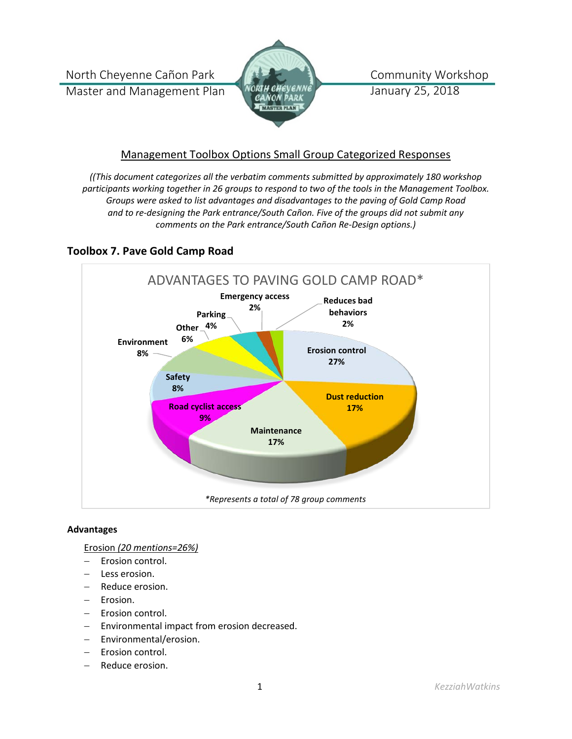North Cheyenne Cañon Park Master and Management Plan



Community Workshop January 25, 2018

# Management Toolbox Options Small Group Categorized Responses

*((This document categorizes all the verbatim comments submitted by approximately 180 workshop participants working together in 26 groups to respond to two of the tools in the Management Toolbox. Groups were asked to list advantages and disadvantages to the paving of Gold Camp Road and to re-designing the Park entrance/South Cañon. Five of the groups did not submit any comments on the Park entrance/South Cañon Re-Design options.)*

# **Toolbox 7. Pave Gold Camp Road**



# **Advantages**

Erosion *(20 mentions=26%)*

- − Erosion control.
- Less erosion.
- − Reduce erosion.
- − Erosion.
- − Erosion control.
- − Environmental impact from erosion decreased.
- − Environmental/erosion.
- Erosion control.
- − Reduce erosion.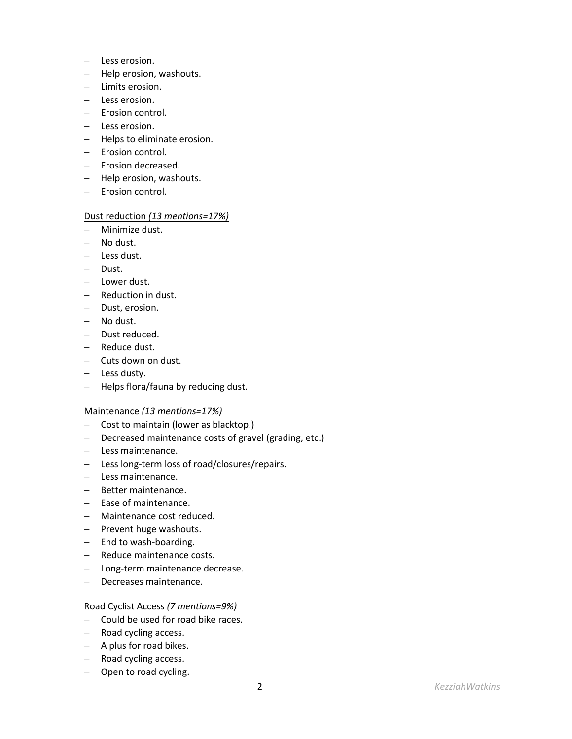- − Less erosion.
- − Help erosion, washouts.
- − Limits erosion.
- − Less erosion.
- − Erosion control.
- − Less erosion.
- − Helps to eliminate erosion.
- − Erosion control.
- − Erosion decreased.
- − Help erosion, washouts.
- − Erosion control.

### Dust reduction *(13 mentions=17%)*

- − Minimize dust.
- − No dust.
- − Less dust.
- − Dust.
- − Lower dust.
- − Reduction in dust.
- − Dust, erosion.
- − No dust.
- − Dust reduced.
- − Reduce dust.
- − Cuts down on dust.
- − Less dusty.
- − Helps flora/fauna by reducing dust.

### Maintenance *(13 mentions=17%)*

- − Cost to maintain (lower as blacktop.)
- − Decreased maintenance costs of gravel (grading, etc.)
- − Less maintenance.
- − Less long-term loss of road/closures/repairs.
- − Less maintenance.
- − Better maintenance.
- − Ease of maintenance.
- − Maintenance cost reduced.
- − Prevent huge washouts.
- − End to wash-boarding.
- − Reduce maintenance costs.
- − Long-term maintenance decrease.
- − Decreases maintenance.

### Road Cyclist Access *(7 mentions=9%)*

- − Could be used for road bike races.
- − Road cycling access.
- − A plus for road bikes.
- − Road cycling access.
- − Open to road cycling.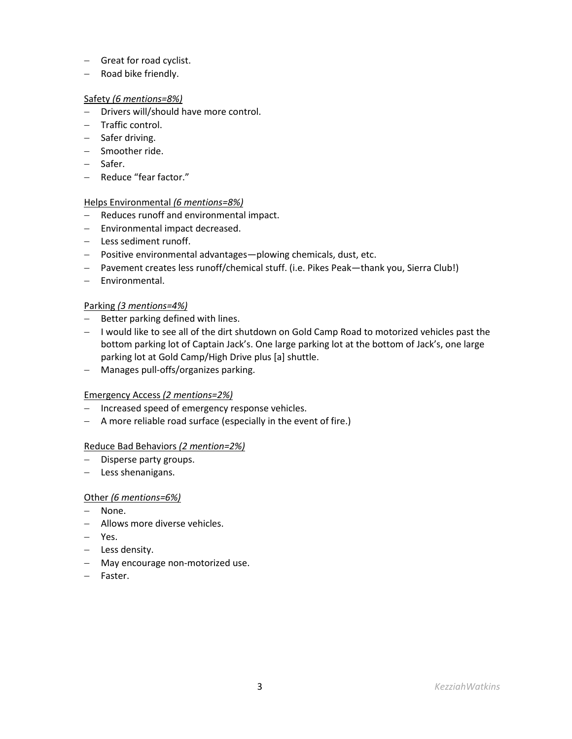- − Great for road cyclist.
- − Road bike friendly.

## Safety *(6 mentions=8%)*

- − Drivers will/should have more control.
- − Traffic control.
- − Safer driving.
- − Smoother ride.
- − Safer.
- − Reduce "fear factor."

# Helps Environmental *(6 mentions=8%)*

- − Reduces runoff and environmental impact.
- − Environmental impact decreased.
- − Less sediment runoff.
- − Positive environmental advantages—plowing chemicals, dust, etc.
- − Pavement creates less runoff/chemical stuff. (i.e. Pikes Peak—thank you, Sierra Club!)
- − Environmental.

# Parking *(3 mentions=4%)*

- − Better parking defined with lines.
- − I would like to see all of the dirt shutdown on Gold Camp Road to motorized vehicles past the bottom parking lot of Captain Jack's. One large parking lot at the bottom of Jack's, one large parking lot at Gold Camp/High Drive plus [a] shuttle.
- − Manages pull-offs/organizes parking.

# Emergency Access *(2 mentions=2%)*

- − Increased speed of emergency response vehicles.
- − A more reliable road surface (especially in the event of fire.)

# Reduce Bad Behaviors *(2 mention=2%)*

- − Disperse party groups.
- − Less shenanigans.

# Other *(6 mentions=6%)*

- − None.
- − Allows more diverse vehicles.
- − Yes.
- − Less density.
- − May encourage non-motorized use.
- − Faster.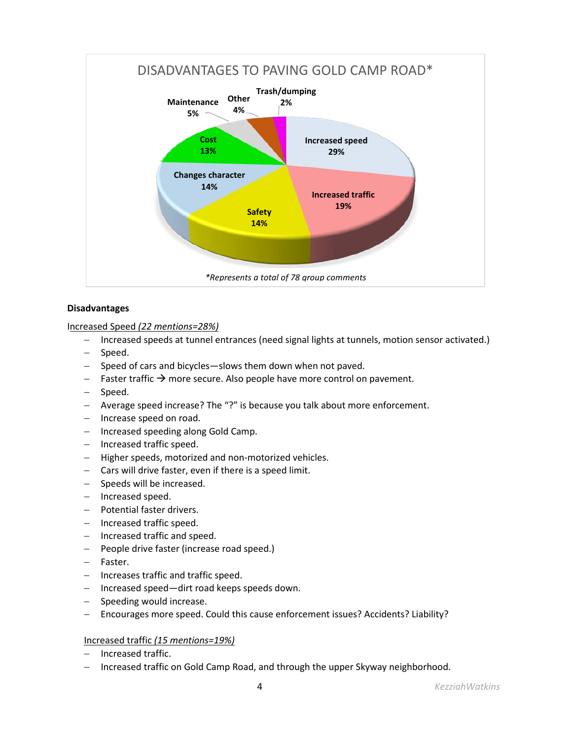

# **Disadvantages**

Increased Speed *(22 mentions=28%)*

- − Increased speeds at tunnel entrances (need signal lights at tunnels, motion sensor activated.)
- − Speed.
- − Speed of cars and bicycles—slows them down when not paved.
- − Faster traffic  $\rightarrow$  more secure. Also people have more control on pavement.
- − Speed.
- − Average speed increase? The "?" is because you talk about more enforcement.
- − Increase speed on road.
- − Increased speeding along Gold Camp.
- − Increased traffic speed.
- − Higher speeds, motorized and non-motorized vehicles.
- − Cars will drive faster, even if there is a speed limit.
- − Speeds will be increased.
- − Increased speed.
- − Potential faster drivers.
- − Increased traffic speed.
- − Increased traffic and speed.
- − People drive faster (increase road speed.)
- − Faster.
- − Increases traffic and traffic speed.
- − Increased speed—dirt road keeps speeds down.
- − Speeding would increase.
- − Encourages more speed. Could this cause enforcement issues? Accidents? Liability?

# Increased traffic *(15 mentions=19%)*

- − Increased traffic.
- − Increased traffic on Gold Camp Road, and through the upper Skyway neighborhood.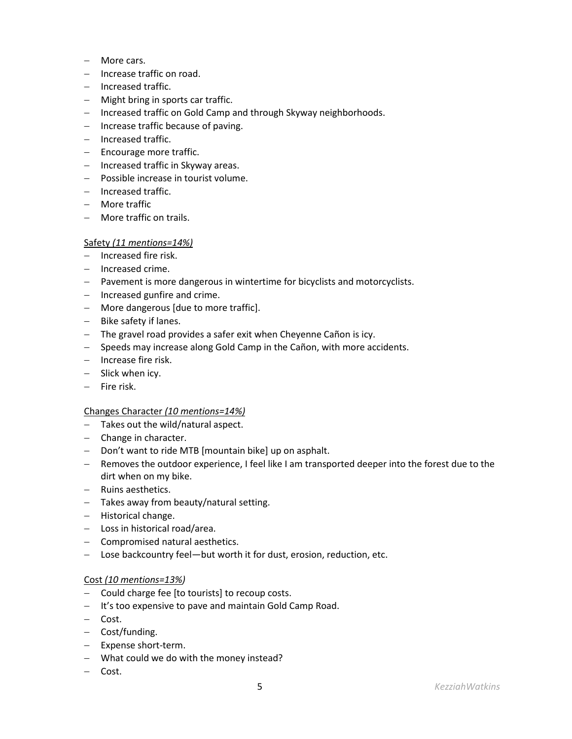- − More cars.
- − Increase traffic on road.
- − Increased traffic.
- − Might bring in sports car traffic.
- − Increased traffic on Gold Camp and through Skyway neighborhoods.
- − Increase traffic because of paving.
- − Increased traffic.
- − Encourage more traffic.
- − Increased traffic in Skyway areas.
- − Possible increase in tourist volume.
- − Increased traffic.
- − More traffic
- − More traffic on trails.

### Safety *(11 mentions=14%)*

- − Increased fire risk.
- − Increased crime.
- − Pavement is more dangerous in wintertime for bicyclists and motorcyclists.
- − Increased gunfire and crime.
- − More dangerous [due to more traffic].
- − Bike safety if lanes.
- − The gravel road provides a safer exit when Cheyenne Cañon is icy.
- − Speeds may increase along Gold Camp in the Cañon, with more accidents.
- − Increase fire risk.
- − Slick when icy.
- − Fire risk.

### Changes Character *(10 mentions=14%)*

- − Takes out the wild/natural aspect.
- − Change in character.
- − Don't want to ride MTB [mountain bike] up on asphalt.
- − Removes the outdoor experience, I feel like I am transported deeper into the forest due to the dirt when on my bike.
- − Ruins aesthetics.
- − Takes away from beauty/natural setting.
- − Historical change.
- − Loss in historical road/area.
- − Compromised natural aesthetics.
- − Lose backcountry feel—but worth it for dust, erosion, reduction, etc.

### Cost *(10 mentions=13%)*

- − Could charge fee [to tourists] to recoup costs.
- − It's too expensive to pave and maintain Gold Camp Road.
- − Cost.
- − Cost/funding.
- − Expense short-term.
- − What could we do with the money instead?
- − Cost.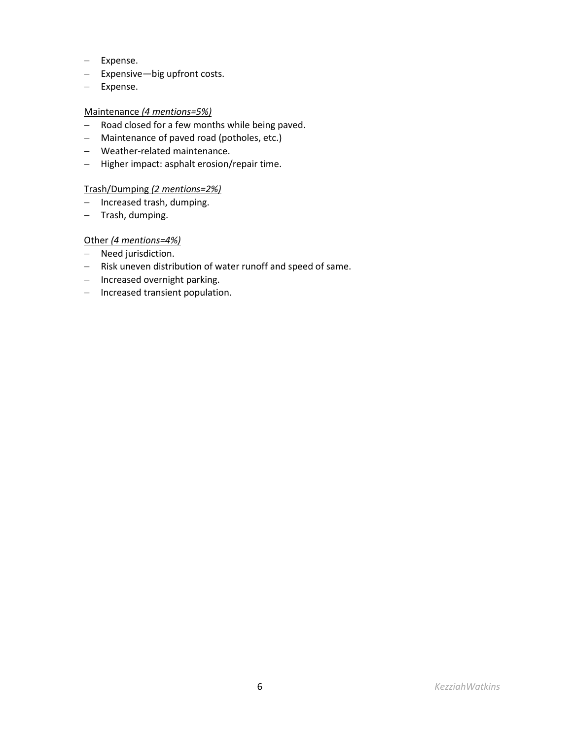- − Expense.
- − Expensive—big upfront costs.
- − Expense.

## Maintenance *(4 mentions=5%)*

- − Road closed for a few months while being paved.
- − Maintenance of paved road (potholes, etc.)
- − Weather-related maintenance.
- − Higher impact: asphalt erosion/repair time.

## Trash/Dumping *(2 mentions=2%)*

- − Increased trash, dumping.
- − Trash, dumping.

# Other *(4 mentions=4%)*

- − Need jurisdiction.
- − Risk uneven distribution of water runoff and speed of same.
- − Increased overnight parking.
- − Increased transient population.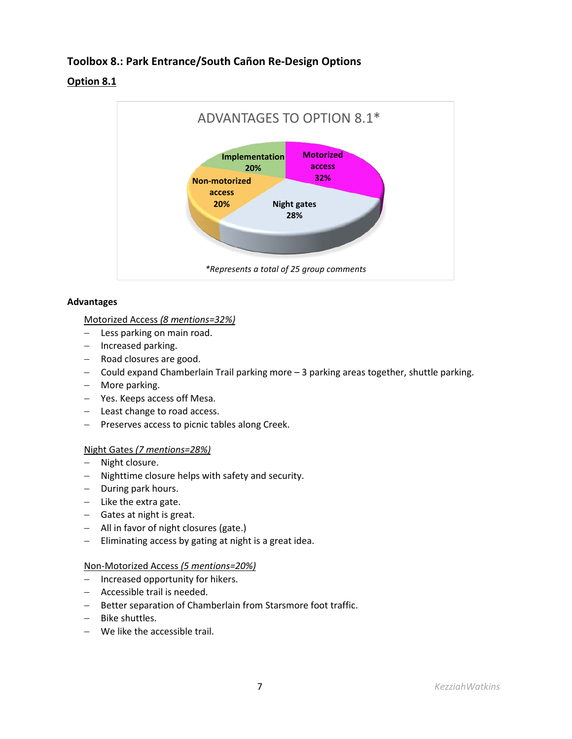# **Toolbox 8.: Park Entrance/South Cañon Re-Design Options**

# **Option 8.1**



# **Advantages**

# Motorized Access *(8 mentions=32%)*

- − Less parking on main road.
- − Increased parking.
- − Road closures are good.
- − Could expand Chamberlain Trail parking more 3 parking areas together, shuttle parking.
- − More parking.
- − Yes. Keeps access off Mesa.
- − Least change to road access.
- − Preserves access to picnic tables along Creek.

# Night Gates *(7 mentions=28%)*

- − Night closure.
- − Nighttime closure helps with safety and security.
- − During park hours.
- − Like the extra gate.
- − Gates at night is great.
- − All in favor of night closures (gate.)
- − Eliminating access by gating at night is a great idea.

# Non-Motorized Access *(5 mentions=20%)*

- − Increased opportunity for hikers.
- − Accessible trail is needed.
- − Better separation of Chamberlain from Starsmore foot traffic.
- − Bike shuttles.
- − We like the accessible trail.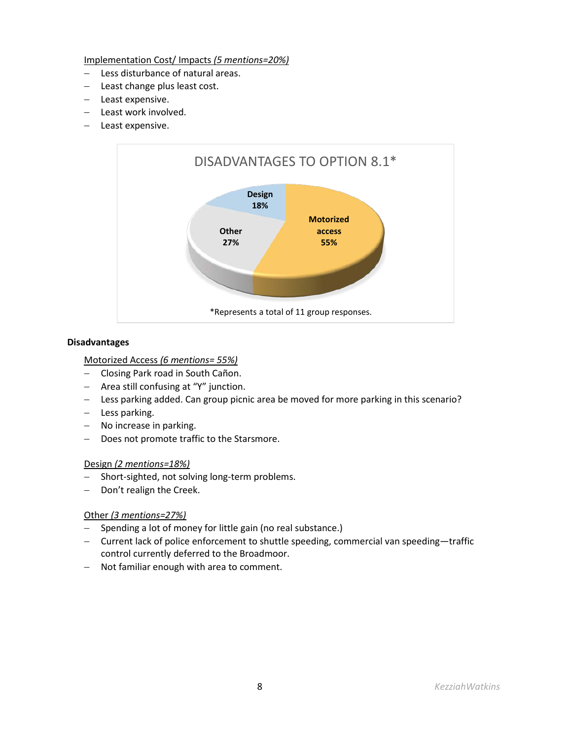Implementation Cost/ Impacts *(5 mentions=20%)*

- − Less disturbance of natural areas.
- − Least change plus least cost.
- − Least expensive.
- − Least work involved.
- − Least expensive.



### **Disadvantages**

# Motorized Access *(6 mentions= 55%)*

- − Closing Park road in South Cañon.
- − Area still confusing at "Y" junction.
- − Less parking added. Can group picnic area be moved for more parking in this scenario?
- − Less parking.
- − No increase in parking.
- − Does not promote traffic to the Starsmore.

### Design *(2 mentions=18%)*

- − Short-sighted, not solving long-term problems.
- − Don't realign the Creek.

### Other *(3 mentions=27%)*

- − Spending a lot of money for little gain (no real substance.)
- − Current lack of police enforcement to shuttle speeding, commercial van speeding—traffic control currently deferred to the Broadmoor.
- − Not familiar enough with area to comment.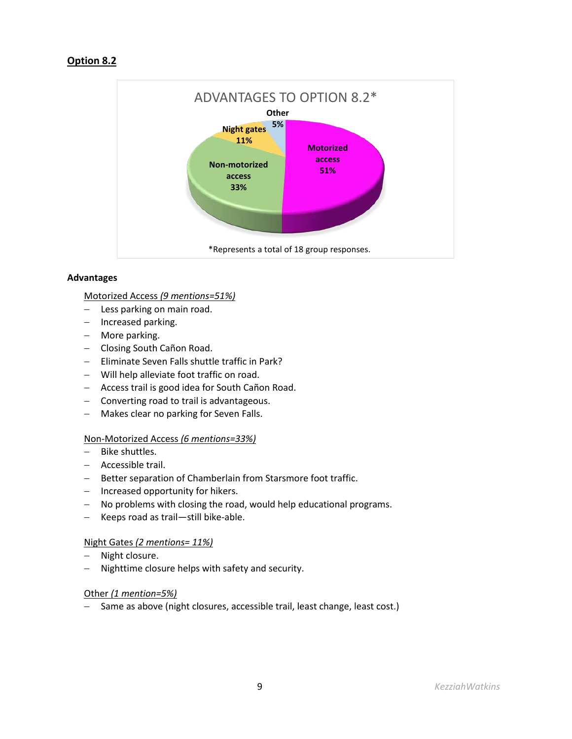# **Option 8.2**



## **Advantages**

## Motorized Access *(9 mentions=51%)*

- − Less parking on main road.
- − Increased parking.
- − More parking.
- − Closing South Cañon Road.
- − Eliminate Seven Falls shuttle traffic in Park?
- − Will help alleviate foot traffic on road.
- − Access trail is good idea for South Cañon Road.
- − Converting road to trail is advantageous.
- − Makes clear no parking for Seven Falls.

# Non-Motorized Access *(6 mentions=33%)*

- − Bike shuttles.
- − Accessible trail.
- − Better separation of Chamberlain from Starsmore foot traffic.
- − Increased opportunity for hikers.
- − No problems with closing the road, would help educational programs.
- − Keeps road as trail—still bike-able.

# Night Gates *(2 mentions= 11%)*

- − Night closure.
- − Nighttime closure helps with safety and security.

# Other *(1 mention=5%)*

− Same as above (night closures, accessible trail, least change, least cost.)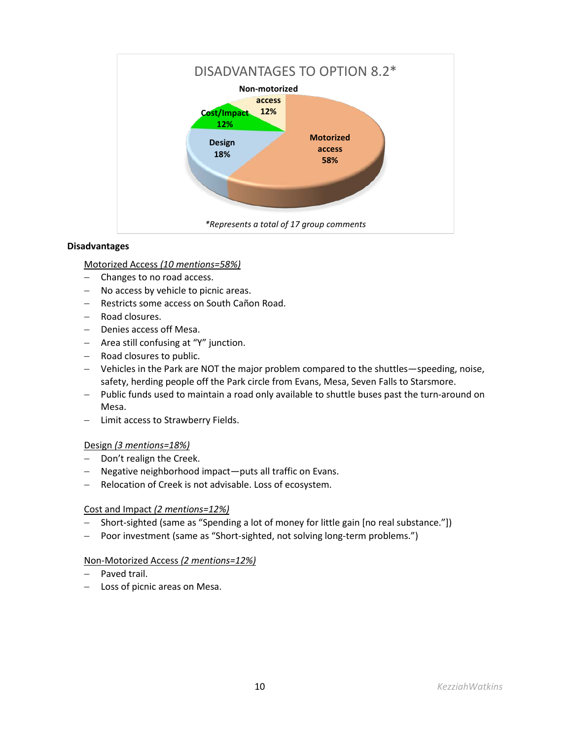

## **Disadvantages**

## Motorized Access *(10 mentions=58%)*

- − Changes to no road access.
- − No access by vehicle to picnic areas.
- − Restricts some access on South Cañon Road.
- − Road closures.
- − Denies access off Mesa.
- − Area still confusing at "Y" junction.
- − Road closures to public.
- − Vehicles in the Park are NOT the major problem compared to the shuttles—speeding, noise, safety, herding people off the Park circle from Evans, Mesa, Seven Falls to Starsmore.
- − Public funds used to maintain a road only available to shuttle buses past the turn-around on Mesa.
- − Limit access to Strawberry Fields.

### Design *(3 mentions=18%)*

- − Don't realign the Creek.
- − Negative neighborhood impact—puts all traffic on Evans.
- − Relocation of Creek is not advisable. Loss of ecosystem.

### Cost and Impact *(2 mentions=12%)*

- − Short-sighted (same as "Spending a lot of money for little gain [no real substance."])
- − Poor investment (same as "Short-sighted, not solving long-term problems.")

### Non-Motorized Access *(2 mentions=12%)*

- − Paved trail.
- − Loss of picnic areas on Mesa.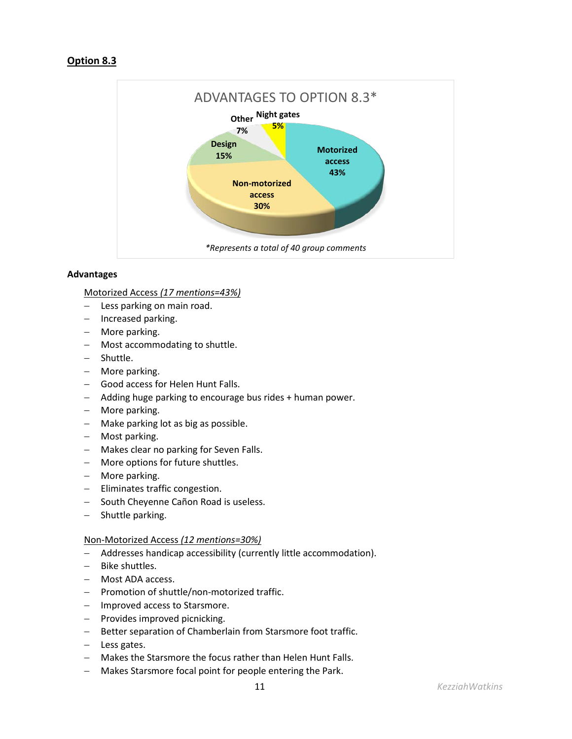# **Option 8.3**



# **Advantages**

Motorized Access *(17 mentions=43%)*

- − Less parking on main road.
- − Increased parking.
- − More parking.
- − Most accommodating to shuttle.
- − Shuttle.
- − More parking.
- − Good access for Helen Hunt Falls.
- − Adding huge parking to encourage bus rides + human power.
- − More parking.
- − Make parking lot as big as possible.
- − Most parking.
- − Makes clear no parking for Seven Falls.
- − More options for future shuttles.
- − More parking.
- − Eliminates traffic congestion.
- − South Cheyenne Cañon Road is useless.
- − Shuttle parking.

### Non-Motorized Access *(12 mentions=30%)*

- − Addresses handicap accessibility (currently little accommodation).
- − Bike shuttles.
- − Most ADA access.
- − Promotion of shuttle/non-motorized traffic.
- − Improved access to Starsmore.
- − Provides improved picnicking.
- − Better separation of Chamberlain from Starsmore foot traffic.
- − Less gates.
- − Makes the Starsmore the focus rather than Helen Hunt Falls.
- − Makes Starsmore focal point for people entering the Park.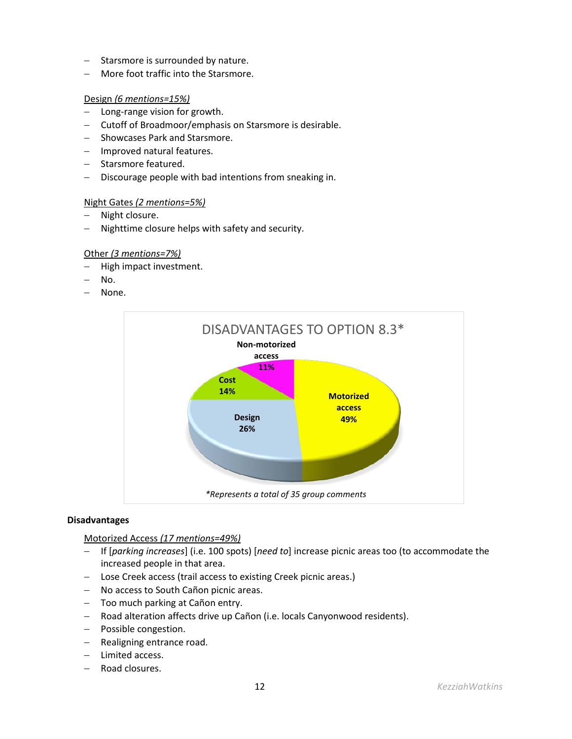- − Starsmore is surrounded by nature.
- − More foot traffic into the Starsmore.

### Design *(6 mentions=15%)*

- − Long-range vision for growth.
- − Cutoff of Broadmoor/emphasis on Starsmore is desirable.
- − Showcases Park and Starsmore.
- − Improved natural features.
- − Starsmore featured.
- − Discourage people with bad intentions from sneaking in.

### Night Gates *(2 mentions=5%)*

- − Night closure.
- − Nighttime closure helps with safety and security.

## Other *(3 mentions=7%)*

- − High impact investment.
- − No.
- − None.



### **Disadvantages**

Motorized Access *(17 mentions=49%)*

- − If [*parking increases*] (i.e. 100 spots) [*need to*] increase picnic areas too (to accommodate the increased people in that area.
- − Lose Creek access (trail access to existing Creek picnic areas.)
- − No access to South Cañon picnic areas.
- − Too much parking at Cañon entry.
- − Road alteration affects drive up Cañon (i.e. locals Canyonwood residents).
- − Possible congestion.
- − Realigning entrance road.
- − Limited access.
- − Road closures.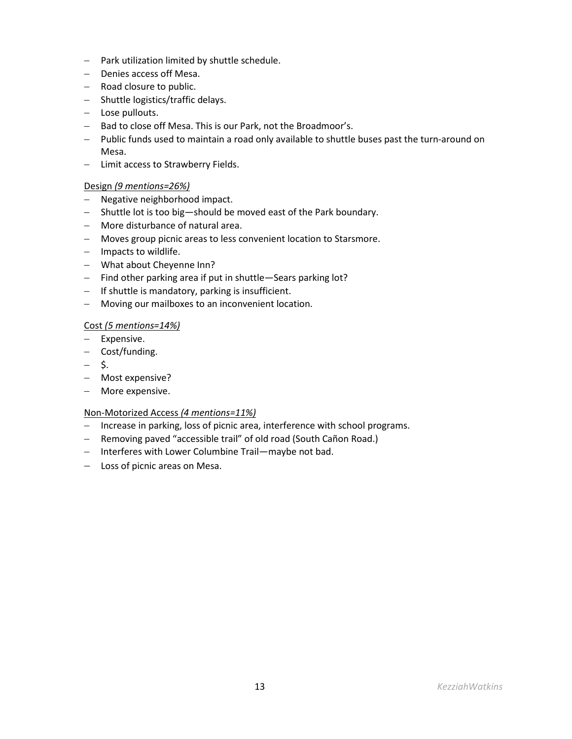- − Park utilization limited by shuttle schedule.
- − Denies access off Mesa.
- − Road closure to public.
- − Shuttle logistics/traffic delays.
- − Lose pullouts.
- − Bad to close off Mesa. This is our Park, not the Broadmoor's.
- − Public funds used to maintain a road only available to shuttle buses past the turn-around on Mesa.
- − Limit access to Strawberry Fields.

# Design *(9 mentions=26%)*

- − Negative neighborhood impact.
- − Shuttle lot is too big—should be moved east of the Park boundary.
- − More disturbance of natural area.
- − Moves group picnic areas to less convenient location to Starsmore.
- − Impacts to wildlife.
- − What about Cheyenne Inn?
- − Find other parking area if put in shuttle—Sears parking lot?
- − If shuttle is mandatory, parking is insufficient.
- − Moving our mailboxes to an inconvenient location.

# Cost *(5 mentions=14%)*

- − Expensive.
- − Cost/funding.
- − \$.
- − Most expensive?
- − More expensive.

# Non-Motorized Access *(4 mentions=11%)*

- − Increase in parking, loss of picnic area, interference with school programs.
- − Removing paved "accessible trail" of old road (South Cañon Road.)
- − Interferes with Lower Columbine Trail—maybe not bad.
- − Loss of picnic areas on Mesa.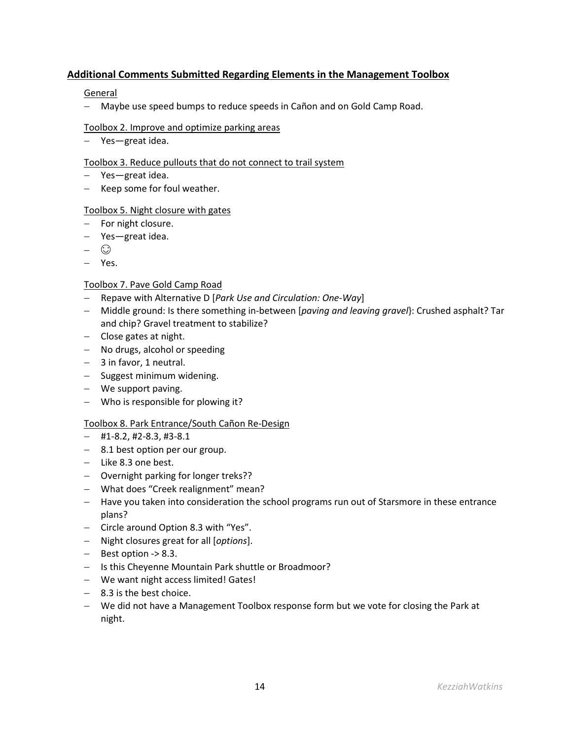# **Additional Comments Submitted Regarding Elements in the Management Toolbox**

## General

− Maybe use speed bumps to reduce speeds in Cañon and on Gold Camp Road.

## Toolbox 2. Improve and optimize parking areas

− Yes—great idea.

## Toolbox 3. Reduce pullouts that do not connect to trail system

- − Yes—great idea.
- − Keep some for foul weather.

# Toolbox 5. Night closure with gates

- − For night closure.
- − Yes—great idea.
- − ⊙
- − Yes.

# Toolbox 7. Pave Gold Camp Road

- − Repave with Alternative D [*Park Use and Circulation: One-Way*]
- − Middle ground: Is there something in-between [*paving and leaving gravel*}: Crushed asphalt? Tar and chip? Gravel treatment to stabilize?
- − Close gates at night.
- − No drugs, alcohol or speeding
- − 3 in favor, 1 neutral.
- − Suggest minimum widening.
- − We support paving.
- − Who is responsible for plowing it?

# Toolbox 8. Park Entrance/South Cañon Re-Design

- − #1-8.2, #2-8.3, #3-8.1
- − 8.1 best option per our group.
- − Like 8.3 one best.
- − Overnight parking for longer treks??
- − What does "Creek realignment" mean?
- − Have you taken into consideration the school programs run out of Starsmore in these entrance plans?
- − Circle around Option 8.3 with "Yes".
- − Night closures great for all [*options*].
- − Best option -> 8.3.
- − Is this Cheyenne Mountain Park shuttle or Broadmoor?
- − We want night access limited! Gates!
- − 8.3 is the best choice.
- − We did not have a Management Toolbox response form but we vote for closing the Park at night.